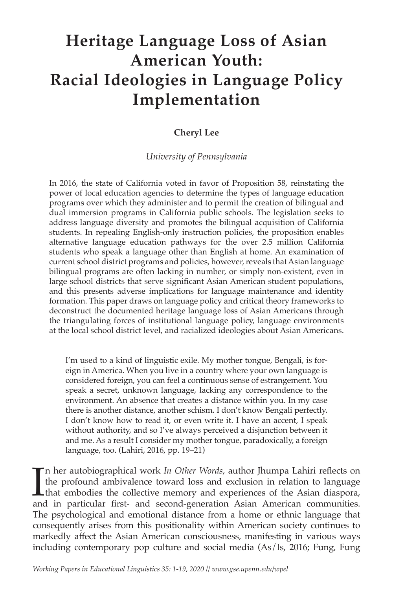# **Heritage Language Loss of Asian American Youth: Racial Ideologies in Language Policy Implementation**

# **Cheryl Lee**

## *University of Pennsylvania*

In 2016, the state of California voted in favor of Proposition 58, reinstating the power of local education agencies to determine the types of language education programs over which they administer and to permit the creation of bilingual and dual immersion programs in California public schools. The legislation seeks to address language diversity and promotes the bilingual acquisition of California students. In repealing English-only instruction policies, the proposition enables alternative language education pathways for the over 2.5 million California students who speak a language other than English at home. An examination of current school district programs and policies, however, reveals that Asian language bilingual programs are often lacking in number, or simply non-existent, even in large school districts that serve significant Asian American student populations, and this presents adverse implications for language maintenance and identity formation. This paper draws on language policy and critical theory frameworks to deconstruct the documented heritage language loss of Asian Americans through the triangulating forces of institutional language policy, language environments at the local school district level, and racialized ideologies about Asian Americans.

I'm used to a kind of linguistic exile. My mother tongue, Bengali, is foreign in America. When you live in a country where your own language is considered foreign, you can feel a continuous sense of estrangement. You speak a secret, unknown language, lacking any correspondence to the environment. An absence that creates a distance within you. In my case there is another distance, another schism. I don't know Bengali perfectly. I don't know how to read it, or even write it. I have an accent, I speak without authority, and so I've always perceived a disjunction between it and me. As a result I consider my mother tongue, paradoxically, a foreign language, too. (Lahiri, 2016, pp. 19–21)

 $\prod_{\text{anc}}$ n her autobiographical work *In Other Words*, author Jhumpa Lahiri reflects on the profound ambivalence toward loss and exclusion in relation to language that embodies the collective memory and experiences of the Asian diaspora, and in particular first- and second-generation Asian American communities. The psychological and emotional distance from a home or ethnic language that consequently arises from this positionality within American society continues to markedly affect the Asian American consciousness, manifesting in various ways including contemporary pop culture and social media (As/Is, 2016; Fung, Fung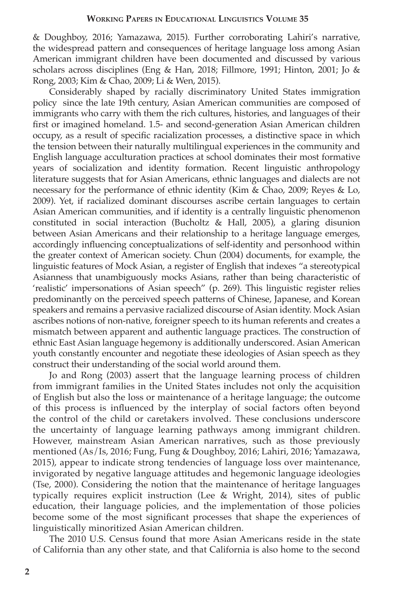& Doughboy, 2016; Yamazawa, 2015). Further corroborating Lahiri's narrative, the widespread pattern and consequences of heritage language loss among Asian American immigrant children have been documented and discussed by various scholars across disciplines (Eng & Han, 2018; Fillmore, 1991; Hinton, 2001; Jo & Rong, 2003; Kim & Chao, 2009; Li & Wen, 2015).

Considerably shaped by racially discriminatory United States immigration policy since the late 19th century, Asian American communities are composed of immigrants who carry with them the rich cultures, histories, and languages of their first or imagined homeland. 1.5- and second-generation Asian American children occupy, as a result of specific racialization processes, a distinctive space in which the tension between their naturally multilingual experiences in the community and English language acculturation practices at school dominates their most formative years of socialization and identity formation. Recent linguistic anthropology literature suggests that for Asian Americans, ethnic languages and dialects are not necessary for the performance of ethnic identity (Kim & Chao, 2009; Reyes & Lo, 2009). Yet, if racialized dominant discourses ascribe certain languages to certain Asian American communities, and if identity is a centrally linguistic phenomenon constituted in social interaction (Bucholtz & Hall, 2005), a glaring disunion between Asian Americans and their relationship to a heritage language emerges, accordingly influencing conceptualizations of self-identity and personhood within the greater context of American society. Chun (2004) documents, for example, the linguistic features of Mock Asian, a register of English that indexes "a stereotypical Asianness that unambiguously mocks Asians, rather than being characteristic of 'realistic' impersonations of Asian speech" (p. 269). This linguistic register relies predominantly on the perceived speech patterns of Chinese, Japanese, and Korean speakers and remains a pervasive racialized discourse of Asian identity. Mock Asian ascribes notions of non-native, foreigner speech to its human referents and creates a mismatch between apparent and authentic language practices. The construction of ethnic East Asian language hegemony is additionally underscored. Asian American youth constantly encounter and negotiate these ideologies of Asian speech as they construct their understanding of the social world around them.

Jo and Rong (2003) assert that the language learning process of children from immigrant families in the United States includes not only the acquisition of English but also the loss or maintenance of a heritage language; the outcome of this process is influenced by the interplay of social factors often beyond the control of the child or caretakers involved. These conclusions underscore the uncertainty of language learning pathways among immigrant children. However, mainstream Asian American narratives, such as those previously mentioned (As/Is, 2016; Fung, Fung & Doughboy, 2016; Lahiri, 2016; Yamazawa, 2015), appear to indicate strong tendencies of language loss over maintenance, invigorated by negative language attitudes and hegemonic language ideologies (Tse, 2000). Considering the notion that the maintenance of heritage languages typically requires explicit instruction (Lee & Wright, 2014), sites of public education, their language policies, and the implementation of those policies become some of the most significant processes that shape the experiences of linguistically minoritized Asian American children.

The 2010 U.S. Census found that more Asian Americans reside in the state of California than any other state, and that California is also home to the second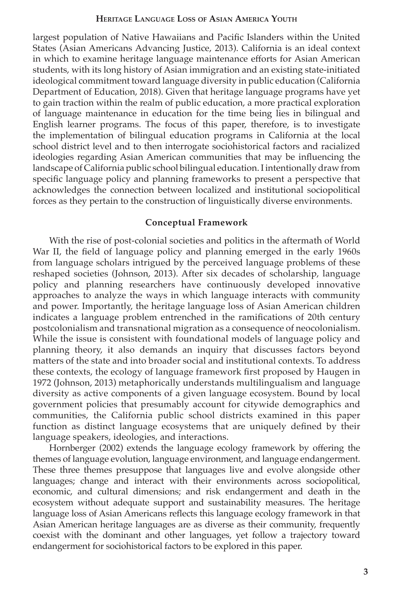largest population of Native Hawaiians and Pacific Islanders within the United States (Asian Americans Advancing Justice, 2013). California is an ideal context in which to examine heritage language maintenance efforts for Asian American students, with its long history of Asian immigration and an existing state-initiated ideological commitment toward language diversity in public education (California Department of Education, 2018). Given that heritage language programs have yet to gain traction within the realm of public education, a more practical exploration of language maintenance in education for the time being lies in bilingual and English learner programs. The focus of this paper, therefore, is to investigate the implementation of bilingual education programs in California at the local school district level and to then interrogate sociohistorical factors and racialized ideologies regarding Asian American communities that may be influencing the landscape of California public school bilingual education. I intentionally draw from specific language policy and planning frameworks to present a perspective that acknowledges the connection between localized and institutional sociopolitical forces as they pertain to the construction of linguistically diverse environments.

### **Conceptual Framework**

With the rise of post-colonial societies and politics in the aftermath of World War II, the field of language policy and planning emerged in the early 1960s from language scholars intrigued by the perceived language problems of these reshaped societies (Johnson, 2013). After six decades of scholarship, language policy and planning researchers have continuously developed innovative approaches to analyze the ways in which language interacts with community and power. Importantly, the heritage language loss of Asian American children indicates a language problem entrenched in the ramifications of 20th century postcolonialism and transnational migration as a consequence of neocolonialism. While the issue is consistent with foundational models of language policy and planning theory, it also demands an inquiry that discusses factors beyond matters of the state and into broader social and institutional contexts. To address these contexts, the ecology of language framework first proposed by Haugen in 1972 (Johnson, 2013) metaphorically understands multilingualism and language diversity as active components of a given language ecosystem. Bound by local government policies that presumably account for citywide demographics and communities, the California public school districts examined in this paper function as distinct language ecosystems that are uniquely defined by their language speakers, ideologies, and interactions.

Hornberger (2002) extends the language ecology framework by offering the themes of language evolution, language environment, and language endangerment. These three themes presuppose that languages live and evolve alongside other languages; change and interact with their environments across sociopolitical, economic, and cultural dimensions; and risk endangerment and death in the ecosystem without adequate support and sustainability measures. The heritage language loss of Asian Americans reflects this language ecology framework in that Asian American heritage languages are as diverse as their community, frequently coexist with the dominant and other languages, yet follow a trajectory toward endangerment for sociohistorical factors to be explored in this paper.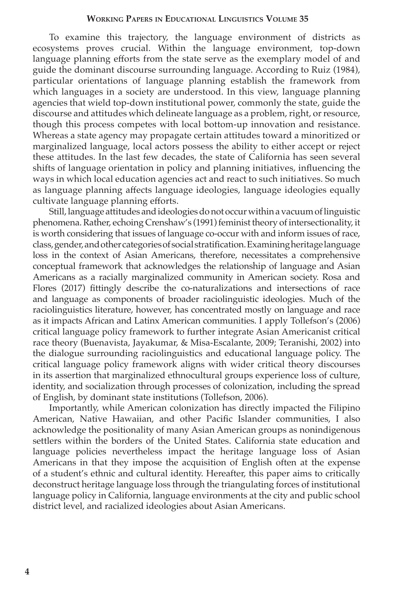To examine this trajectory, the language environment of districts as ecosystems proves crucial. Within the language environment, top-down language planning efforts from the state serve as the exemplary model of and guide the dominant discourse surrounding language. According to Ruiz (1984), particular orientations of language planning establish the framework from which languages in a society are understood. In this view, language planning agencies that wield top-down institutional power, commonly the state, guide the discourse and attitudes which delineate language as a problem, right, or resource, though this process competes with local bottom-up innovation and resistance. Whereas a state agency may propagate certain attitudes toward a minoritized or marginalized language, local actors possess the ability to either accept or reject these attitudes. In the last few decades, the state of California has seen several shifts of language orientation in policy and planning initiatives, influencing the ways in which local education agencies act and react to such initiatives. So much as language planning affects language ideologies, language ideologies equally cultivate language planning efforts.

Still, language attitudes and ideologies do not occur within a vacuum of linguistic phenomena. Rather, echoing Crenshaw's (1991) feminist theory of intersectionality, it is worth considering that issues of language co-occur with and inform issues of race, class, gender, and other categories of social stratification. Examining heritage language loss in the context of Asian Americans, therefore, necessitates a comprehensive conceptual framework that acknowledges the relationship of language and Asian Americans as a racially marginalized community in American society. Rosa and Flores (2017) fittingly describe the co-naturalizations and intersections of race and language as components of broader raciolinguistic ideologies. Much of the raciolinguistics literature, however, has concentrated mostly on language and race as it impacts African and Latinx American communities. I apply Tollefson's (2006) critical language policy framework to further integrate Asian Americanist critical race theory (Buenavista, Jayakumar, & Misa-Escalante, 2009; Teranishi, 2002) into the dialogue surrounding raciolinguistics and educational language policy. The critical language policy framework aligns with wider critical theory discourses in its assertion that marginalized ethnocultural groups experience loss of culture, identity, and socialization through processes of colonization, including the spread of English, by dominant state institutions (Tollefson, 2006).

Importantly, while American colonization has directly impacted the Filipino American, Native Hawaiian, and other Pacific Islander communities, I also acknowledge the positionality of many Asian American groups as nonindigenous settlers within the borders of the United States. California state education and language policies nevertheless impact the heritage language loss of Asian Americans in that they impose the acquisition of English often at the expense of a student's ethnic and cultural identity. Hereafter, this paper aims to critically deconstruct heritage language loss through the triangulating forces of institutional language policy in California, language environments at the city and public school district level, and racialized ideologies about Asian Americans.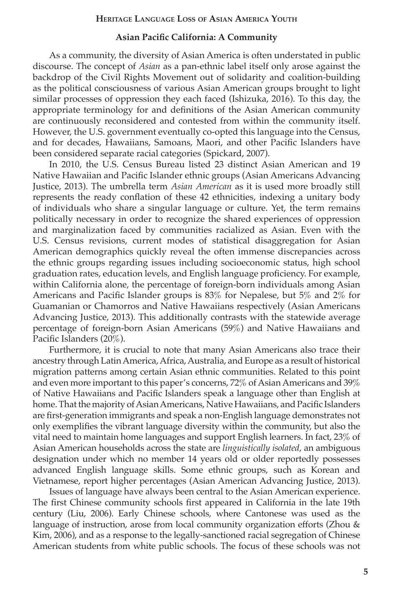## **Asian Pacific California: A Community**

As a community, the diversity of Asian America is often understated in public discourse. The concept of *Asian* as a pan-ethnic label itself only arose against the backdrop of the Civil Rights Movement out of solidarity and coalition-building as the political consciousness of various Asian American groups brought to light similar processes of oppression they each faced (Ishizuka, 2016). To this day, the appropriate terminology for and definitions of the Asian American community are continuously reconsidered and contested from within the community itself. However, the U.S. government eventually co-opted this language into the Census, and for decades, Hawaiians, Samoans, Maori, and other Pacific Islanders have been considered separate racial categories (Spickard, 2007).

In 2010, the U.S. Census Bureau listed 23 distinct Asian American and 19 Native Hawaiian and Pacific Islander ethnic groups (Asian Americans Advancing Justice, 2013). The umbrella term *Asian American* as it is used more broadly still represents the ready conflation of these 42 ethnicities, indexing a unitary body of individuals who share a singular language or culture. Yet, the term remains politically necessary in order to recognize the shared experiences of oppression and marginalization faced by communities racialized as Asian. Even with the U.S. Census revisions, current modes of statistical disaggregation for Asian American demographics quickly reveal the often immense discrepancies across the ethnic groups regarding issues including socioeconomic status, high school graduation rates, education levels, and English language proficiency. For example, within California alone, the percentage of foreign-born individuals among Asian Americans and Pacific Islander groups is 83% for Nepalese, but 5% and 2% for Guamanian or Chamorros and Native Hawaiians respectively (Asian Americans Advancing Justice, 2013). This additionally contrasts with the statewide average percentage of foreign-born Asian Americans (59%) and Native Hawaiians and Pacific Islanders (20%).

Furthermore, it is crucial to note that many Asian Americans also trace their ancestry through Latin America, Africa, Australia, and Europe as a result of historical migration patterns among certain Asian ethnic communities. Related to this point and even more important to this paper's concerns, 72% of Asian Americans and 39% of Native Hawaiians and Pacific Islanders speak a language other than English at home. That the majority of Asian Americans, Native Hawaiians, and Pacific Islanders are first-generation immigrants and speak a non-English language demonstrates not only exemplifies the vibrant language diversity within the community, but also the vital need to maintain home languages and support English learners. In fact, 23% of Asian American households across the state are *linguistically isolated*, an ambiguous designation under which no member 14 years old or older reportedly possesses advanced English language skills. Some ethnic groups, such as Korean and Vietnamese, report higher percentages (Asian American Advancing Justice, 2013).

 Issues of language have always been central to the Asian American experience. The first Chinese community schools first appeared in California in the late 19th century (Liu, 2006). Early Chinese schools, where Cantonese was used as the language of instruction, arose from local community organization efforts (Zhou & Kim, 2006), and as a response to the legally-sanctioned racial segregation of Chinese American students from white public schools. The focus of these schools was not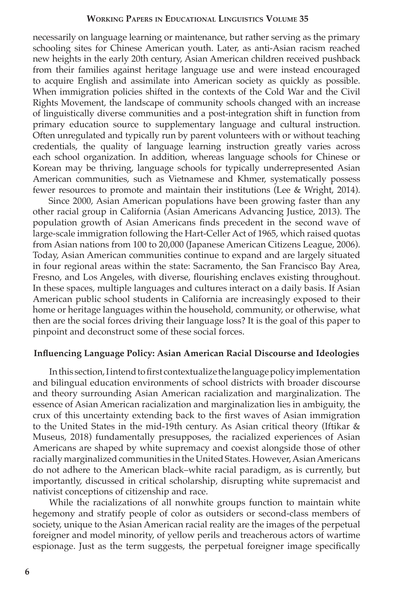necessarily on language learning or maintenance, but rather serving as the primary schooling sites for Chinese American youth. Later, as anti-Asian racism reached new heights in the early 20th century, Asian American children received pushback from their families against heritage language use and were instead encouraged to acquire English and assimilate into American society as quickly as possible. When immigration policies shifted in the contexts of the Cold War and the Civil Rights Movement, the landscape of community schools changed with an increase of linguistically diverse communities and a post-integration shift in function from primary education source to supplementary language and cultural instruction. Often unregulated and typically run by parent volunteers with or without teaching credentials, the quality of language learning instruction greatly varies across each school organization. In addition, whereas language schools for Chinese or Korean may be thriving, language schools for typically underrepresented Asian American communities, such as Vietnamese and Khmer, systematically possess fewer resources to promote and maintain their institutions (Lee & Wright, 2014).

 Since 2000, Asian American populations have been growing faster than any other racial group in California (Asian Americans Advancing Justice, 2013). The population growth of Asian Americans finds precedent in the second wave of large-scale immigration following the Hart-Celler Act of 1965, which raised quotas from Asian nations from 100 to 20,000 (Japanese American Citizens League, 2006). Today, Asian American communities continue to expand and are largely situated in four regional areas within the state: Sacramento, the San Francisco Bay Area, Fresno, and Los Angeles, with diverse, flourishing enclaves existing throughout. In these spaces, multiple languages and cultures interact on a daily basis. If Asian American public school students in California are increasingly exposed to their home or heritage languages within the household, community, or otherwise, what then are the social forces driving their language loss? It is the goal of this paper to pinpoint and deconstruct some of these social forces.

#### **Influencing Language Policy: Asian American Racial Discourse and Ideologies**

In this section, I intend to first contextualize the language policy implementation and bilingual education environments of school districts with broader discourse and theory surrounding Asian American racialization and marginalization. The essence of Asian American racialization and marginalization lies in ambiguity, the crux of this uncertainty extending back to the first waves of Asian immigration to the United States in the mid-19th century. As Asian critical theory (Iftikar & Museus, 2018) fundamentally presupposes, the racialized experiences of Asian Americans are shaped by white supremacy and coexist alongside those of other racially marginalized communities in the United States. However, Asian Americans do not adhere to the American black–white racial paradigm, as is currently, but importantly, discussed in critical scholarship, disrupting white supremacist and nativist conceptions of citizenship and race.

While the racializations of all nonwhite groups function to maintain white hegemony and stratify people of color as outsiders or second-class members of society, unique to the Asian American racial reality are the images of the perpetual foreigner and model minority, of yellow perils and treacherous actors of wartime espionage. Just as the term suggests, the perpetual foreigner image specifically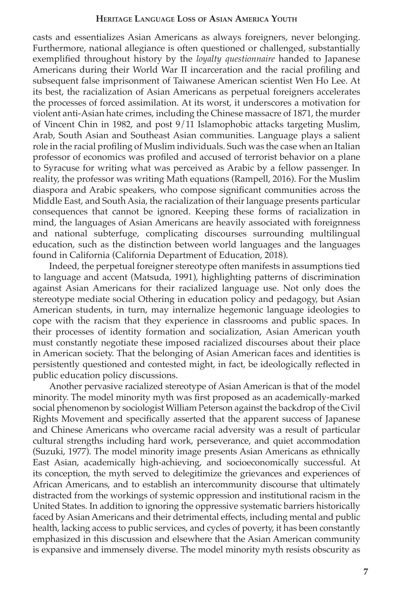casts and essentializes Asian Americans as always foreigners, never belonging. Furthermore, national allegiance is often questioned or challenged, substantially exemplified throughout history by the *loyalty questionnaire* handed to Japanese Americans during their World War II incarceration and the racial profiling and subsequent false imprisonment of Taiwanese American scientist Wen Ho Lee. At its best, the racialization of Asian Americans as perpetual foreigners accelerates the processes of forced assimilation. At its worst, it underscores a motivation for violent anti-Asian hate crimes, including the Chinese massacre of 1871, the murder of Vincent Chin in 1982, and post 9/11 Islamophobic attacks targeting Muslim, Arab, South Asian and Southeast Asian communities. Language plays a salient role in the racial profiling of Muslim individuals. Such was the case when an Italian professor of economics was profiled and accused of terrorist behavior on a plane to Syracuse for writing what was perceived as Arabic by a fellow passenger. In reality, the professor was writing Math equations (Rampell, 2016). For the Muslim diaspora and Arabic speakers, who compose significant communities across the Middle East, and South Asia, the racialization of their language presents particular consequences that cannot be ignored. Keeping these forms of racialization in mind, the languages of Asian Americans are heavily associated with foreignness and national subterfuge, complicating discourses surrounding multilingual education, such as the distinction between world languages and the languages found in California (California Department of Education, 2018).

Indeed, the perpetual foreigner stereotype often manifests in assumptions tied to language and accent (Matsuda, 1991), highlighting patterns of discrimination against Asian Americans for their racialized language use. Not only does the stereotype mediate social Othering in education policy and pedagogy, but Asian American students, in turn, may internalize hegemonic language ideologies to cope with the racism that they experience in classrooms and public spaces. In their processes of identity formation and socialization, Asian American youth must constantly negotiate these imposed racialized discourses about their place in American society. That the belonging of Asian American faces and identities is persistently questioned and contested might, in fact, be ideologically reflected in public education policy discussions.

Another pervasive racialized stereotype of Asian American is that of the model minority. The model minority myth was first proposed as an academically-marked social phenomenon by sociologist William Peterson against the backdrop of the Civil Rights Movement and specifically asserted that the apparent success of Japanese and Chinese Americans who overcame racial adversity was a result of particular cultural strengths including hard work, perseverance, and quiet accommodation (Suzuki, 1977). The model minority image presents Asian Americans as ethnically East Asian, academically high-achieving, and socioeconomically successful. At its conception, the myth served to delegitimize the grievances and experiences of African Americans, and to establish an intercommunity discourse that ultimately distracted from the workings of systemic oppression and institutional racism in the United States. In addition to ignoring the oppressive systematic barriers historically faced by Asian Americans and their detrimental effects, including mental and public health, lacking access to public services, and cycles of poverty, it has been constantly emphasized in this discussion and elsewhere that the Asian American community is expansive and immensely diverse. The model minority myth resists obscurity as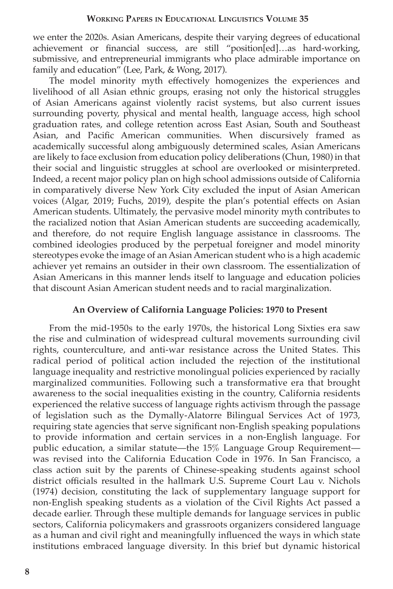we enter the 2020s. Asian Americans, despite their varying degrees of educational achievement or financial success, are still "position[ed]…as hard-working, submissive, and entrepreneurial immigrants who place admirable importance on family and education" (Lee, Park, & Wong, 2017).

The model minority myth effectively homogenizes the experiences and livelihood of all Asian ethnic groups, erasing not only the historical struggles of Asian Americans against violently racist systems, but also current issues surrounding poverty, physical and mental health, language access, high school graduation rates, and college retention across East Asian, South and Southeast Asian, and Pacific American communities. When discursively framed as academically successful along ambiguously determined scales, Asian Americans are likely to face exclusion from education policy deliberations (Chun, 1980) in that their social and linguistic struggles at school are overlooked or misinterpreted. Indeed, a recent major policy plan on high school admissions outside of California in comparatively diverse New York City excluded the input of Asian American voices (Algar, 2019; Fuchs, 2019), despite the plan's potential effects on Asian American students. Ultimately, the pervasive model minority myth contributes to the racialized notion that Asian American students are succeeding academically, and therefore, do not require English language assistance in classrooms. The combined ideologies produced by the perpetual foreigner and model minority stereotypes evoke the image of an Asian American student who is a high academic achiever yet remains an outsider in their own classroom. The essentialization of Asian Americans in this manner lends itself to language and education policies that discount Asian American student needs and to racial marginalization.

## **An Overview of California Language Policies: 1970 to Present**

From the mid-1950s to the early 1970s, the historical Long Sixties era saw the rise and culmination of widespread cultural movements surrounding civil rights, counterculture, and anti-war resistance across the United States. This radical period of political action included the rejection of the institutional language inequality and restrictive monolingual policies experienced by racially marginalized communities. Following such a transformative era that brought awareness to the social inequalities existing in the country, California residents experienced the relative success of language rights activism through the passage of legislation such as the Dymally-Alatorre Bilingual Services Act of 1973, requiring state agencies that serve significant non-English speaking populations to provide information and certain services in a non-English language. For public education, a similar statute—the 15% Language Group Requirement was revised into the California Education Code in 1976. In San Francisco, a class action suit by the parents of Chinese-speaking students against school district officials resulted in the hallmark U.S. Supreme Court Lau v. Nichols (1974) decision, constituting the lack of supplementary language support for non-English speaking students as a violation of the Civil Rights Act passed a decade earlier. Through these multiple demands for language services in public sectors, California policymakers and grassroots organizers considered language as a human and civil right and meaningfully influenced the ways in which state institutions embraced language diversity. In this brief but dynamic historical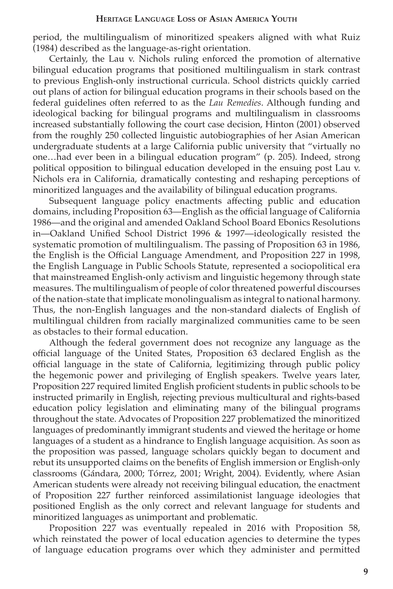period, the multilingualism of minoritized speakers aligned with what Ruiz (1984) described as the language-as-right orientation.

Certainly, the Lau v. Nichols ruling enforced the promotion of alternative bilingual education programs that positioned multilingualism in stark contrast to previous English-only instructional curricula. School districts quickly carried out plans of action for bilingual education programs in their schools based on the federal guidelines often referred to as the *Lau Remedies*. Although funding and ideological backing for bilingual programs and multilingualism in classrooms increased substantially following the court case decision, Hinton (2001) observed from the roughly 250 collected linguistic autobiographies of her Asian American undergraduate students at a large California public university that "virtually no one…had ever been in a bilingual education program" (p. 205). Indeed, strong political opposition to bilingual education developed in the ensuing post Lau v. Nichols era in California, dramatically contesting and reshaping perceptions of minoritized languages and the availability of bilingual education programs.

Subsequent language policy enactments affecting public and education domains, including Proposition 63—English as the official language of California 1986—and the original and amended Oakland School Board Ebonics Resolutions in—Oakland Unified School District 1996 & 1997—ideologically resisted the systematic promotion of multilingualism. The passing of Proposition 63 in 1986, the English is the Official Language Amendment, and Proposition 227 in 1998, the English Language in Public Schools Statute, represented a sociopolitical era that mainstreamed English-only activism and linguistic hegemony through state measures. The multilingualism of people of color threatened powerful discourses of the nation-state that implicate monolingualism as integral to national harmony. Thus, the non-English languages and the non-standard dialects of English of multilingual children from racially marginalized communities came to be seen as obstacles to their formal education.

Although the federal government does not recognize any language as the official language of the United States, Proposition 63 declared English as the official language in the state of California, legitimizing through public policy the hegemonic power and privileging of English speakers. Twelve years later, Proposition 227 required limited English proficient students in public schools to be instructed primarily in English, rejecting previous multicultural and rights-based education policy legislation and eliminating many of the bilingual programs throughout the state. Advocates of Proposition 227 problematized the minoritized languages of predominantly immigrant students and viewed the heritage or home languages of a student as a hindrance to English language acquisition. As soon as the proposition was passed, language scholars quickly began to document and rebut its unsupported claims on the benefits of English immersion or English-only classrooms (Gándara, 2000; Tórrez, 2001; Wright, 2004). Evidently, where Asian American students were already not receiving bilingual education, the enactment of Proposition 227 further reinforced assimilationist language ideologies that positioned English as the only correct and relevant language for students and minoritized languages as unimportant and problematic.

Proposition 227 was eventually repealed in 2016 with Proposition 58, which reinstated the power of local education agencies to determine the types of language education programs over which they administer and permitted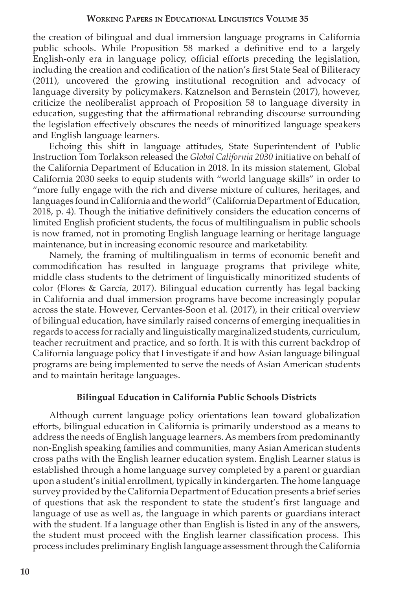the creation of bilingual and dual immersion language programs in California public schools. While Proposition 58 marked a definitive end to a largely English-only era in language policy, official efforts preceding the legislation, including the creation and codification of the nation's first State Seal of Biliteracy (2011), uncovered the growing institutional recognition and advocacy of language diversity by policymakers. Katznelson and Bernstein (2017), however, criticize the neoliberalist approach of Proposition 58 to language diversity in education, suggesting that the affirmational rebranding discourse surrounding the legislation effectively obscures the needs of minoritized language speakers and English language learners.

Echoing this shift in language attitudes, State Superintendent of Public Instruction Tom Torlakson released the *Global California 2030* initiative on behalf of the California Department of Education in 2018. In its mission statement, Global California 2030 seeks to equip students with "world language skills" in order to "more fully engage with the rich and diverse mixture of cultures, heritages, and languages found in California and the world" (California Department of Education, 2018, p. 4). Though the initiative definitively considers the education concerns of limited English proficient students, the focus of multilingualism in public schools is now framed, not in promoting English language learning or heritage language maintenance, but in increasing economic resource and marketability.

Namely, the framing of multilingualism in terms of economic benefit and commodification has resulted in language programs that privilege white, middle class students to the detriment of linguistically minoritized students of color (Flores & García, 2017). Bilingual education currently has legal backing in California and dual immersion programs have become increasingly popular across the state. However, Cervantes-Soon et al. (2017), in their critical overview of bilingual education, have similarly raised concerns of emerging inequalities in regards to access for racially and linguistically marginalized students, curriculum, teacher recruitment and practice, and so forth. It is with this current backdrop of California language policy that I investigate if and how Asian language bilingual programs are being implemented to serve the needs of Asian American students and to maintain heritage languages.

## **Bilingual Education in California Public Schools Districts**

Although current language policy orientations lean toward globalization efforts, bilingual education in California is primarily understood as a means to address the needs of English language learners. As members from predominantly non-English speaking families and communities, many Asian American students cross paths with the English learner education system. English Learner status is established through a home language survey completed by a parent or guardian upon a student's initial enrollment, typically in kindergarten. The home language survey provided by the California Department of Education presents a brief series of questions that ask the respondent to state the student's first language and language of use as well as, the language in which parents or guardians interact with the student. If a language other than English is listed in any of the answers, the student must proceed with the English learner classification process. This process includes preliminary English language assessment through the California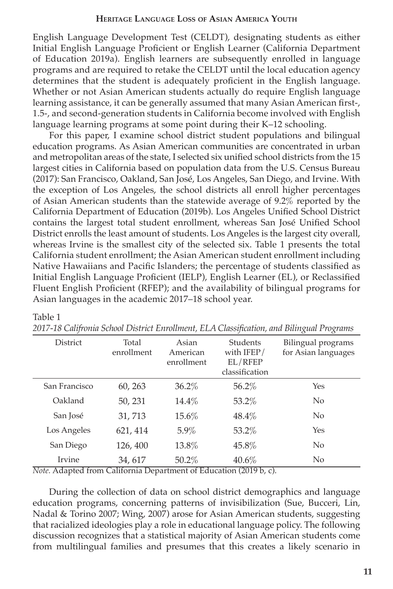English Language Development Test (CELDT), designating students as either Initial English Language Proficient or English Learner (California Department of Education 2019a). English learners are subsequently enrolled in language programs and are required to retake the CELDT until the local education agency determines that the student is adequately proficient in the English language. Whether or not Asian American students actually do require English language learning assistance, it can be generally assumed that many Asian American first-, 1.5-, and second-generation students in California become involved with English language learning programs at some point during their K–12 schooling.

For this paper, I examine school district student populations and bilingual education programs. As Asian American communities are concentrated in urban and metropolitan areas of the state, I selected six unified school districts from the 15 largest cities in California based on population data from the U.S. Census Bureau (2017): San Francisco, Oakland, San José, Los Angeles, San Diego, and Irvine. With the exception of Los Angeles, the school districts all enroll higher percentages of Asian American students than the statewide average of 9.2% reported by the California Department of Education (2019b). Los Angeles Unified School District contains the largest total student enrollment, whereas San José Unified School District enrolls the least amount of students. Los Angeles is the largest city overall, whereas Irvine is the smallest city of the selected six. Table 1 presents the total California student enrollment; the Asian American student enrollment including Native Hawaiians and Pacific Islanders; the percentage of students classified as Initial English Language Proficient (IELP), English Learner (EL), or Reclassified Fluent English Proficient (RFEP); and the availability of bilingual programs for Asian languages in the academic 2017–18 school year.

| $\checkmark$  |                     |                                 |                                                             | $\check{ }$<br>ັ                          |
|---------------|---------------------|---------------------------------|-------------------------------------------------------------|-------------------------------------------|
| District      | Total<br>enrollment | Asian<br>American<br>enrollment | <b>Students</b><br>with $IFEP/$<br>EL/REF<br>classification | Bilingual programs<br>for Asian languages |
| San Francisco | 60, 263             | $36.2\%$                        | 56.2%                                                       | Yes                                       |
| Oakland       | 50, 231             | $14.4\%$                        | 53.2%                                                       | N <sub>0</sub>                            |
| San José      | 31,713              | $15.6\%$                        | 48.4%                                                       | N <sub>0</sub>                            |
| Los Angeles   | 621, 414            | $5.9\%$                         | 53.2%                                                       | Yes                                       |
| San Diego     | 126, 400            | 13.8%                           | 45.8%                                                       | No                                        |
| Irvine        | 34, 617             | $50.2\%$                        | $40.6\%$                                                    | N <sub>0</sub>                            |

|  | 2017-18 Califronia School District Enrollment, ELA Classification, and Bilingual Programs |  |
|--|-------------------------------------------------------------------------------------------|--|
|  |                                                                                           |  |

*Note.* Adapted from California Department of Education (2019 b, c).

Table 1

During the collection of data on school district demographics and language education programs, concerning patterns of invisibilization (Sue, Bucceri, Lin, Nadal & Torino 2007; Wing, 2007) arose for Asian American students, suggesting that racialized ideologies play a role in educational language policy. The following discussion recognizes that a statistical majority of Asian American students come from multilingual families and presumes that this creates a likely scenario in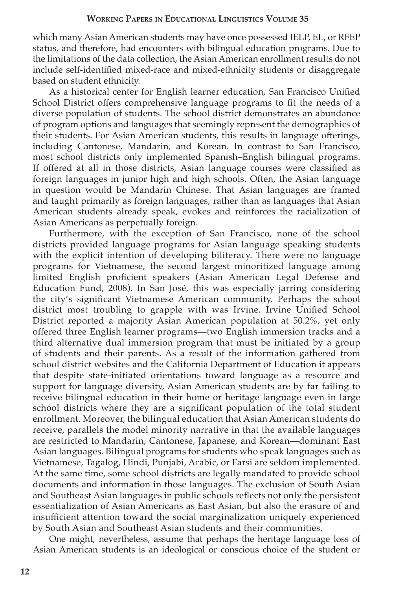which many Asian American students may have once possessed IELP, EL, or RFEP status, and therefore, had encounters with bilingual education programs. Due to the limitations of the data collection, the Asian American enrollment results do not include self-identified mixed-race and mixed-ethnicity students or disaggregate based on student ethnicity.

As a historical center for English learner education, San Francisco Unified School District offers comprehensive language programs to fit the needs of a diverse population of students. The school district demonstrates an abundance of program options and languages that seemingly represent the demographics of their students. For Asian American students, this results in language offerings, including Cantonese, Mandarin, and Korean. In contrast to San Francisco, most school districts only implemented Spanish–English bilingual programs. If offered at all in those districts, Asian language courses were classified as foreign languages in junior high and high schools. Often, the Asian language in question would be Mandarin Chinese. That Asian languages are framed and taught primarily as foreign languages, rather than as languages that Asian American students already speak, evokes and reinforces the racialization of Asian Americans as perpetually foreign.

Furthermore, with the exception of San Francisco, none of the school districts provided language programs for Asian language speaking students with the explicit intention of developing biliteracy. There were no language programs for Vietnamese, the second largest minoritized language among limited English proficient speakers (Asian American Legal Defense and Education Fund, 2008). In San José, this was especially jarring considering the city's significant Vietnamese American community. Perhaps the school district most troubling to grapple with was Irvine. Irvine Unified School District reported a majority Asian American population at 50.2%, yet only offered three English learner programs—two English immersion tracks and a third alternative dual immersion program that must be initiated by a group of students and their parents. As a result of the information gathered from school district websites and the California Department of Education it appears that despite state-initiated orientations toward language as a resource and support for language diversity, Asian American students are by far failing to receive bilingual education in their home or heritage language even in large school districts where they are a significant population of the total student enrollment. Moreover, the bilingual education that Asian American students do receive, parallels the model minority narrative in that the available languages are restricted to Mandarin, Cantonese, Japanese, and Korean—dominant East Asian languages. Bilingual programs for students who speak languages such as Vietnamese, Tagalog, Hindi, Punjabi, Arabic, or Farsi are seldom implemented. At the same time, some school districts are legally mandated to provide school documents and information in those languages. The exclusion of South Asian and Southeast Asian languages in public schools reflects not only the persistent essentialization of Asian Americans as East Asian, but also the erasure of and insufficient attention toward the social marginalization uniquely experienced by South Asian and Southeast Asian students and their communities.

One might, nevertheless, assume that perhaps the heritage language loss of Asian American students is an ideological or conscious choice of the student or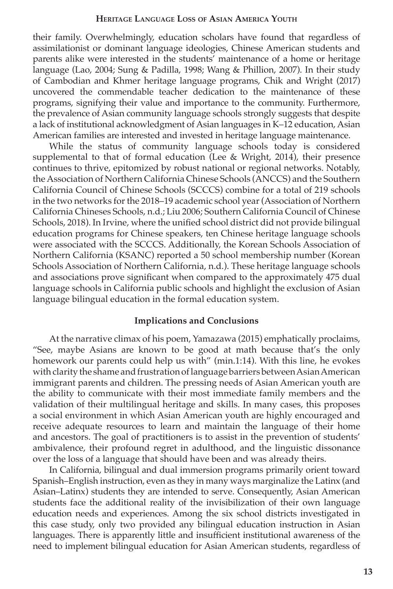their family. Overwhelmingly, education scholars have found that regardless of assimilationist or dominant language ideologies, Chinese American students and parents alike were interested in the students' maintenance of a home or heritage language (Lao, 2004; Sung & Padilla, 1998; Wang & Phillion, 2007). In their study of Cambodian and Khmer heritage language programs, Chik and Wright (2017) uncovered the commendable teacher dedication to the maintenance of these programs, signifying their value and importance to the community. Furthermore, the prevalence of Asian community language schools strongly suggests that despite a lack of institutional acknowledgment of Asian languages in K–12 education, Asian American families are interested and invested in heritage language maintenance.

While the status of community language schools today is considered supplemental to that of formal education (Lee & Wright, 2014), their presence continues to thrive, epitomized by robust national or regional networks. Notably, the Association of Northern California Chinese Schools (ANCCS) and the Southern California Council of Chinese Schools (SCCCS) combine for a total of 219 schools in the two networks for the 2018–19 academic school year (Association of Northern California Chineses Schools, n.d.; Liu 2006; Southern California Council of Chinese Schools, 2018). In Irvine, where the unified school district did not provide bilingual education programs for Chinese speakers, ten Chinese heritage language schools were associated with the SCCCS. Additionally, the Korean Schools Association of Northern California (KSANC) reported a 50 school membership number (Korean Schools Association of Northern California, n.d.). These heritage language schools and associations prove significant when compared to the approximately 475 dual language schools in California public schools and highlight the exclusion of Asian language bilingual education in the formal education system.

## **Implications and Conclusions**

At the narrative climax of his poem, Yamazawa (2015) emphatically proclaims, "See, maybe Asians are known to be good at math because that's the only homework our parents could help us with" (min.1:14). With this line, he evokes with clarity the shame and frustration of language barriers between Asian American immigrant parents and children. The pressing needs of Asian American youth are the ability to communicate with their most immediate family members and the validation of their multilingual heritage and skills. In many cases, this proposes a social environment in which Asian American youth are highly encouraged and receive adequate resources to learn and maintain the language of their home and ancestors. The goal of practitioners is to assist in the prevention of students' ambivalence, their profound regret in adulthood, and the linguistic dissonance over the loss of a language that should have been and was already theirs.

In California, bilingual and dual immersion programs primarily orient toward Spanish–English instruction, even as they in many ways marginalize the Latinx (and Asian–Latinx) students they are intended to serve. Consequently, Asian American students face the additional reality of the invisibilization of their own language education needs and experiences. Among the six school districts investigated in this case study, only two provided any bilingual education instruction in Asian languages. There is apparently little and insufficient institutional awareness of the need to implement bilingual education for Asian American students, regardless of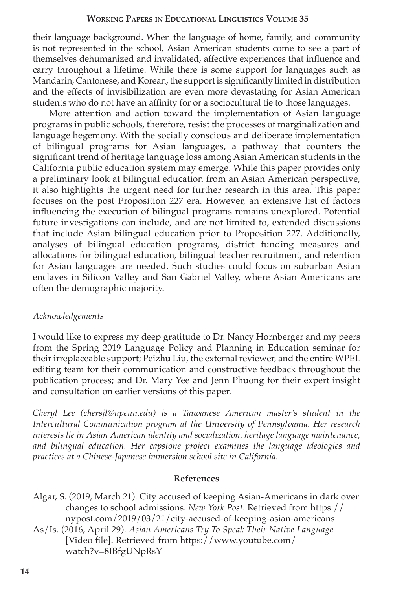their language background. When the language of home, family, and community is not represented in the school, Asian American students come to see a part of themselves dehumanized and invalidated, affective experiences that influence and carry throughout a lifetime. While there is some support for languages such as Mandarin, Cantonese, and Korean, the support is significantly limited in distribution and the effects of invisibilization are even more devastating for Asian American students who do not have an affinity for or a sociocultural tie to those languages.

More attention and action toward the implementation of Asian language programs in public schools, therefore, resist the processes of marginalization and language hegemony. With the socially conscious and deliberate implementation of bilingual programs for Asian languages, a pathway that counters the significant trend of heritage language loss among Asian American students in the California public education system may emerge. While this paper provides only a preliminary look at bilingual education from an Asian American perspective, it also highlights the urgent need for further research in this area. This paper focuses on the post Proposition 227 era. However, an extensive list of factors influencing the execution of bilingual programs remains unexplored. Potential future investigations can include, and are not limited to, extended discussions that include Asian bilingual education prior to Proposition 227. Additionally, analyses of bilingual education programs, district funding measures and allocations for bilingual education, bilingual teacher recruitment, and retention for Asian languages are needed. Such studies could focus on suburban Asian enclaves in Silicon Valley and San Gabriel Valley, where Asian Americans are often the demographic majority.

# *Acknowledgements*

I would like to express my deep gratitude to Dr. Nancy Hornberger and my peers from the Spring 2019 Language Policy and Planning in Education seminar for their irreplaceable support; Peizhu Liu, the external reviewer, and the entire WPEL editing team for their communication and constructive feedback throughout the publication process; and Dr. Mary Yee and Jenn Phuong for their expert insight and consultation on earlier versions of this paper.

*Cheryl Lee (chersjl@upenn.edu) is a Taiwanese American master's student in the Intercultural Communication program at the University of Pennsylvania. Her research interests lie in Asian American identity and socialization, heritage language maintenance, and bilingual education. Her capstone project examines the language ideologies and practices at a Chinese-Japanese immersion school site in California.*

# **References**

Algar, S. (2019, March 21). City accused of keeping Asian-Americans in dark over changes to school admissions. *New York Post*. Retrieved from https:// nypost.com/2019/03/21/city-accused-of-keeping-asian-americans

As/Is. (2016, April 29). *Asian Americans Try To Speak Their Native Language* [Video file]. Retrieved from https://www.youtube.com/ watch?v=8IBfgUNpRsY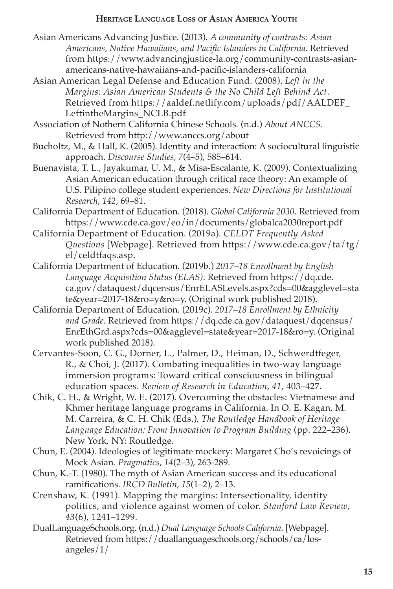- Asian Americans Advancing Justice. (2013). *A community of contrasts: Asian Americans, Native Hawaiians, and Pacific Islanders in California*. Retrieved from https://www.advancingjustice-la.org/community-contrasts-asianamericans-native-hawaiians-and-pacific-islanders-california
- Asian American Legal Defense and Education Fund. (2008). *Left in the Margins: Asian American Students & the No Child Left Behind Act*. Retrieved from https://aaldef.netlify.com/uploads/pdf/AALDEF\_ LeftintheMargins\_NCLB.pdf

Association of Nothern California Chinese Schools*.* (n.d.) *About ANCCS*. Retrieved from http://www.anccs.org/about

- Bucholtz, M., & Hall, K. (2005). Identity and interaction: A sociocultural linguistic approach. *Discourse Studies, 7*(4–5), 585–614.
- Buenavista, T. L., Jayakumar, U. M., & Misa-Escalante, K. (2009). Contextualizing Asian American education through critical race theory: An example of U.S. Pilipino college student experiences. *New Directions for Institutional Research*, *142*, 69–81.
- California Department of Education. (2018). *Global California 2030*. Retrieved from https://www.cde.ca.gov/eo/in/documents/globalca2030report.pdf
- California Department of Education. (2019a). *CELDT Frequently Asked Questions* [Webpage]. Retrieved from https://www.cde.ca.gov/ta/tg/ el/celdtfaqs.asp.
- California Department of Education. (2019b.) *2017–18 Enrollment by English Language Acquisition Status (ELAS)*. Retrieved from https://dq.cde. ca.gov/dataquest/dqcensus/EnrELASLevels.aspx?cds=00&agglevel=sta te&year=2017-18&ro=y&ro=y. (Original work published 2018).
- California Department of Education. (2019c). *2017–18 Enrollment by Ethnicity and Grade.* Retrieved from https://dq.cde.ca.gov/dataquest/dqcensus/ EnrEthGrd.aspx?cds=00&agglevel=state&year=2017-18&ro=y. (Original work published 2018).
- Cervantes-Soon, C. G., Dorner, L., Palmer, D., Heiman, D., Schwerdtfeger, R., & Choi, J. (2017). Combating inequalities in two-way language immersion programs: Toward critical consciousness in bilingual education spaces. *Review of Research in Education*, *41*, 403–427.
- Chik, C. H., & Wright, W. E. (2017). Overcoming the obstacles: Vietnamese and Khmer heritage language programs in California. In O. E. Kagan, M. M. Carreira, & C. H. Chik (Eds.), *The Routledge Handbook of Heritage Language Education: From Innovation to Program Building* (pp. 222–236). New York, NY: Routledge.
- Chun, E. (2004). Ideologies of legitimate mockery: Margaret Cho's revoicings of Mock Asian. *Pragmatics*, *14*(2–3), 263-289.
- Chun, K.-T. (1980). The myth of Asian American success and its educational ramifications. *IRCD Bulletin*, *15*(1–2), 2–13.
- Crenshaw, K. (1991). Mapping the margins: Intersectionality, identity politics, and violence against women of color. *Stanford Law Review*, *43*(6), 1241–1299.
- DualLanguageSchools.org. (n.d.) *Dual Language Schools California*. [Webpage]. Retrieved from https://duallanguageschools.org/schools/ca/losangeles/1/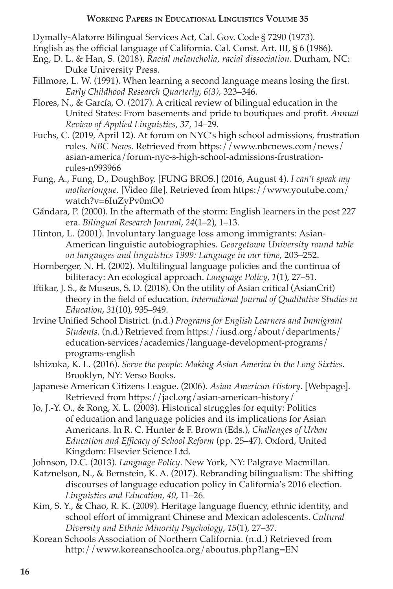Dymally-Alatorre Bilingual Services Act, Cal. Gov. Code § 7290 (1973).

- English as the official language of California. Cal. Const. Art. III, § 6 (1986).
- Eng, D. L. & Han, S. (2018). *Racial melancholia, racial dissociation*. Durham, NC: Duke University Press.
- Fillmore, L. W. (1991). When learning a second language means losing the first. *Early Childhood Research Quarterly*, *6(3)*, 323–346.
- Flores, N., & García, O. (2017). A critical review of bilingual education in the United States: From basements and pride to boutiques and profit. *Annual Review of Applied Linguistics*, *37*, 14–29.
- Fuchs, C. (2019, April 12). At forum on NYC's high school admissions, frustration rules. *NBC News*. Retrieved from https://www.nbcnews.com/news/ asian-america/forum-nyc-s-high-school-admissions-frustrationrules-n993966
- Fung, A., Fung, D., DoughBoy. [FUNG BROS.] (2016, August 4). *I can't speak my mothertongue*. [Video file]. Retrieved from https://www.youtube.com/ watch?v=6IuZyPv0mO0
- Gándara, P. (2000). In the aftermath of the storm: English learners in the post 227 era. *Bilingual Research Journal*, *24*(1–2), 1–13.
- Hinton, L. (2001). Involuntary language loss among immigrants: Asian-American linguistic autobiographies. *Georgetown University round table on languages and linguistics 1999: Language in our time*, 203–252.
- Hornberger, N. H. (2002). Multilingual language policies and the continua of biliteracy: An ecological approach. *Language Policy*, *1*(1), 27–51.
- Iftikar, J. S., & Museus, S. D. (2018). On the utility of Asian critical (AsianCrit) theory in the field of education. *International Journal of Qualitative Studies in Education*, *31*(10), 935–949.
- Irvine Unified School District. (n.d.) *Programs for English Learners and Immigrant Students*. (n.d.) Retrieved from https://iusd.org/about/departments/ education-services/academics/language-development-programs/ programs-english
- Ishizuka, K. L. (2016). *Serve the people: Making Asian America in the Long Sixties*. Brooklyn, NY: Verso Books.
- Japanese American Citizens League. (2006). *Asian American History*. [Webpage]. Retrieved from https://jacl.org/asian-american-history/
- Jo, J.-Y. O., & Rong, X. L. (2003). Historical struggles for equity: Politics of education and language policies and its implications for Asian Americans. In R. C. Hunter & F. Brown (Eds.), *Challenges of Urban Education and Efficacy of School Reform* (pp. 25–47). Oxford, United Kingdom: Elsevier Science Ltd.
- Johnson, D.C. (2013). *Language Policy*. New York, NY: Palgrave Macmillan.
- Katznelson, N., & Bernstein, K. A. (2017). Rebranding bilingualism: The shifting discourses of language education policy in California's 2016 election. *Linguistics and Education*, *40*, 11–26.
- Kim, S. Y., & Chao, R. K. (2009). Heritage language fluency, ethnic identity, and school effort of immigrant Chinese and Mexican adolescents. *Cultural Diversity and Ethnic Minority Psychology*, *15*(1), 27–37.
- Korean Schools Association of Northern California. (n.d.) Retrieved from http://www.koreanschoolca.org/aboutus.php?lang=EN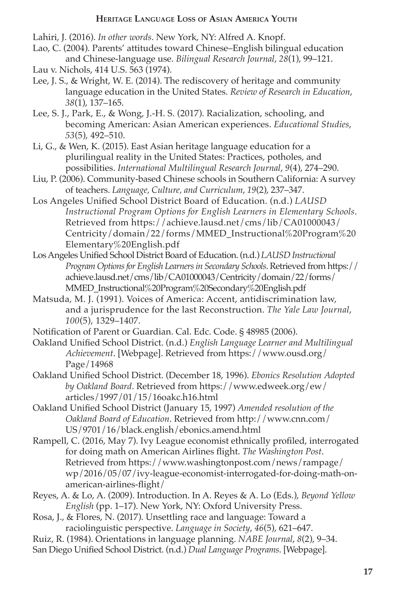Lahiri, J. (2016). *In other words*. New York, NY: Alfred A. Knopf.

- Lao, C. (2004). Parents' attitudes toward Chinese–English bilingual education and Chinese-language use. *Bilingual Research Journal*, *28*(1), 99–121.
- Lau v. Nichols, 414 U.S. 563 (1974).
- Lee, J. S., & Wright, W. E. (2014). The rediscovery of heritage and community language education in the United States. *Review of Research in Education*, *38*(1), 137–165.
- Lee, S. J., Park, E., & Wong, J.-H. S. (2017). Racialization, schooling, and becoming American: Asian American experiences. *Educational Studies*, *53*(5), 492–510.
- Li, G., & Wen, K. (2015). East Asian heritage language education for a plurilingual reality in the United States: Practices, potholes, and possibilities. *International Multilingual Research Journal*, *9*(4), 274–290.
- Liu, P. (2006). Community-based Chinese schools in Southern California: A survey of teachers. *Language, Culture, and Curriculum*, *19*(2), 237–347.
- Los Angeles Unified School District Board of Education. (n.d.) *LAUSD Instructional Program Options for English Learners in Elementary Schools*. Retrieved from https://achieve.lausd.net/cms/lib/CA01000043/ Centricity/domain/22/forms/MMED\_Instructional%20Program%20 Elementary%20English.pdf
- Los Angeles Unified School District Board of Education. (n.d.) *LAUSD Instructional Program Options for English Learners in Secondary Schools*. Retrieved from https:// achieve.lausd.net/cms/lib/CA01000043/Centricity/domain/22/forms/ MMED\_Instructional%20Program%20Secondary%20English.pdf
- Matsuda, M. J. (1991). Voices of America: Accent, antidiscrimination law, and a jurisprudence for the last Reconstruction. *The Yale Law Journal*, *100*(5), 1329–1407.
- Notification of Parent or Guardian. Cal. Edc. Code. § 48985 (2006).
- Oakland Unified School District. (n.d.) *English Language Learner and Multilingual Achievement*. [Webpage]. Retrieved from https://www.ousd.org/ Page/14968
- Oakland Unified School District. (December 18, 1996). *Ebonics Resolution Adopted by Oakland Board*. Retrieved from https://www.edweek.org/ew/ articles/1997/01/15/16oakc.h16.html
- Oakland Unified School District (January 15, 1997) *Amended resolution of the Oakland Board of Education*. Retrieved from http://www.cnn.com/ US/9701/16/black.english/ebonics.amend.html
- Rampell, C. (2016, May 7). Ivy League economist ethnically profiled, interrogated for doing math on American Airlines flight. *The Washington Post*. Retrieved from https://www.washingtonpost.com/news/rampage/ wp/2016/05/07/ivy-league-economist-interrogated-for-doing-math-onamerican-airlines-flight/
- Reyes, A. & Lo, A. (2009). Introduction. In A. Reyes & A. Lo (Eds.), *Beyond Yellow English* (pp. 1–17). New York, NY: Oxford University Press.
- Rosa, J., & Flores, N. (2017). Unsettling race and language: Toward a raciolinguistic perspective. *Language in Society*, *46*(5), 621–647.
- Ruiz, R. (1984). Orientations in language planning. *NABE Journal*, *8*(2), 9–34.
- San Diego Unified School District. (n.d.) *Dual Language Programs*. [Webpage].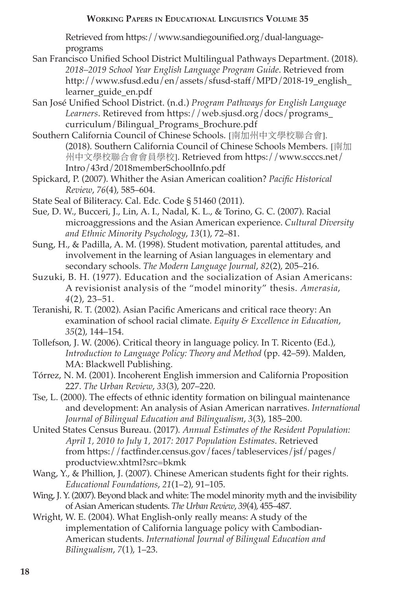Retrieved from https://www.sandiegounified.org/dual-languageprograms

- San Francisco Unified School District Multilingual Pathways Department. (2018). *2018–2019 School Year English Language Program Guide*. Retrieved from http://www.sfusd.edu/en/assets/sfusd-staff/MPD/2018-19\_english\_ learner\_guide\_en.pdf
- San José Unified School District. (n.d.) *Program Pathways for English Language Learners*. Retireved from https://web.sjusd.org/docs/programs\_ curriculum/Bilingual\_Programs\_Brochure.pdf
- Southern California Council of Chinese Schools. [南加州中文學校聯合會]. (2018). Southern California Council of Chinese Schools Members. [南加 州中文學校聯合會會員學校]. Retrieved from https://www.scccs.net/ Intro/43rd/2018memberSchoolInfo.pdf
- Spickard, P. (2007). Whither the Asian American coalition? *Pacific Historical Review*, *76*(4), 585–604.
- State Seal of Biliteracy. Cal. Edc. Code § 51460 (2011).
- Sue, D. W., Bucceri, J., Lin, A. I., Nadal, K. L., & Torino, G. C. (2007). Racial microaggressions and the Asian American experience. *Cultural Diversity and Ethnic Minority Psychology*, *13*(1), 72–81.
- Sung, H., & Padilla, A. M. (1998). Student motivation, parental attitudes, and involvement in the learning of Asian languages in elementary and secondary schools. *The Modern Language Journal*, *82*(2), 205–216.
- Suzuki, B. H. (1977). Education and the socialization of Asian Americans: A revisionist analysis of the "model minority" thesis. *Amerasia*, *4*(2), 23–51.
- Teranishi, R. T. (2002). Asian Pacific Americans and critical race theory: An examination of school racial climate. *Equity & Excellence in Education*, *35*(2), 144–154.
- Tollefson, J. W. (2006). Critical theory in language policy. In T. Ricento (Ed.), *Introduction to Language Policy: Theory and Method* (pp. 42–59). Malden, MA: Blackwell Publishing.
- Tórrez, N. M. (2001). Incoherent English immersion and California Proposition 227. *The Urban Review*, *33*(3), 207–220.
- Tse, L. (2000). The effects of ethnic identity formation on bilingual maintenance and development: An analysis of Asian American narratives. *International Journal of Bilingual Education and Bilingualism*, *3*(3), 185–200.
- United States Census Bureau. (2017). *Annual Estimates of the Resident Population: April 1, 2010 to July 1, 2017: 2017 Population Estimates*. Retrieved from https://factfinder.census.gov/faces/tableservices/jsf/pages/ productview.xhtml?src=bkmk
- Wang, Y., & Phillion, J. (2007). Chinese American students fight for their rights. *Educational Foundations*, *21*(1–2), 91–105.
- Wing, J. Y. (2007). Beyond black and white: The model minority myth and the invisibility of Asian American students. *The Urban Review*, *39*(4), 455–487.
- Wright, W. E. (2004). What English-only really means: A study of the implementation of California language policy with Cambodian-American students. *International Journal of Bilingual Education and Bilingualism*, *7*(1), 1–23.